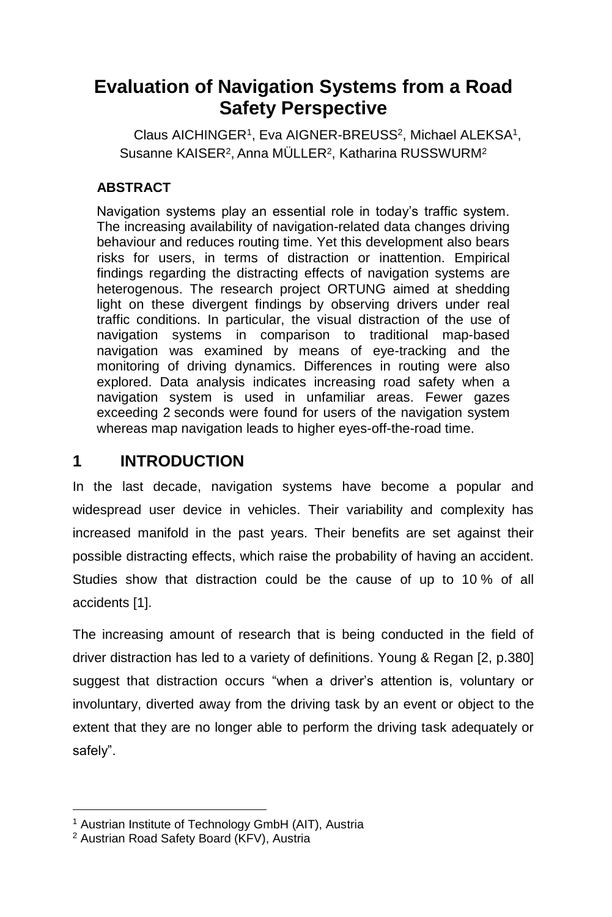# **Evaluation of Navigation Systems from a Road Safety Perspective**

<span id="page-0-1"></span><span id="page-0-0"></span>Claus AICHINGER<sup>[1](#page-0-0)</sup>, Eva AIGNER-BREUSS<sup>2</sup>, Michael ALEKSA<sup>1</sup>, Susanne KAISER<sup>2</sup>[,](#page-0-1) Anna MULLER<sup>2</sup>[,](#page-0-1) Katharina RUSSWUR[M](#page-0-1)<sup>2</sup>

### **ABSTRACT**

Navigation systems play an essential role in today's traffic system. The increasing availability of navigation-related data changes driving behaviour and reduces routing time. Yet this development also bears risks for users, in terms of distraction or inattention. Empirical findings regarding the distracting effects of navigation systems are heterogenous. The research project ORTUNG aimed at shedding light on these divergent findings by observing drivers under real traffic conditions. In particular, the visual distraction of the use of navigation systems in comparison to traditional map-based navigation was examined by means of eye-tracking and the monitoring of driving dynamics. Differences in routing were also explored. Data analysis indicates increasing road safety when a navigation system is used in unfamiliar areas. Fewer gazes exceeding 2 seconds were found for users of the navigation system whereas map navigation leads to higher eyes-off-the-road time.

# **1 INTRODUCTION**

In the last decade, navigation systems have become a popular and widespread user device in vehicles. Their variability and complexity has increased manifold in the past years. Their benefits are set against their possible distracting effects, which raise the probability of having an accident. Studies show that distraction could be the cause of up to 10 % of all accidents [1].

The increasing amount of research that is being conducted in the field of driver distraction has led to a variety of definitions. Young & Regan [2, p.380] suggest that distraction occurs "when a driver's attention is, voluntary or involuntary, diverted away from the driving task by an event or object to the extent that they are no longer able to perform the driving task adequately or safely".

 $\overline{a}$ 

<sup>1</sup> Austrian Institute of Technology GmbH (AIT), Austria

<sup>2</sup> Austrian Road Safety Board (KFV), Austria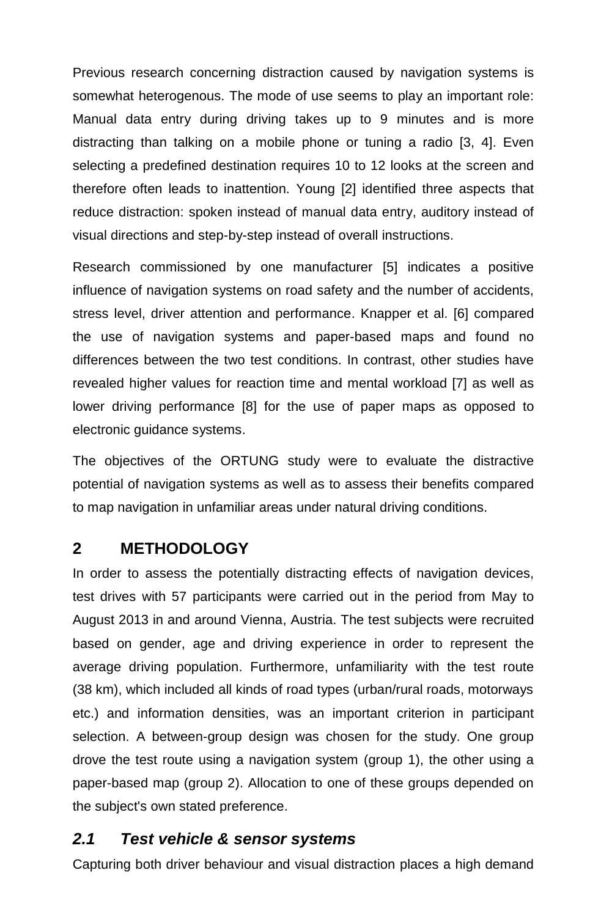Previous research concerning distraction caused by navigation systems is somewhat heterogenous. The mode of use seems to play an important role: Manual data entry during driving takes up to 9 minutes and is more distracting than talking on a mobile phone or tuning a radio [3, 4]. Even selecting a predefined destination requires 10 to 12 looks at the screen and therefore often leads to inattention. Young [2] identified three aspects that reduce distraction: spoken instead of manual data entry, auditory instead of visual directions and step-by-step instead of overall instructions.

Research commissioned by one manufacturer [5] indicates a positive influence of navigation systems on road safety and the number of accidents, stress level, driver attention and performance. Knapper et al. [6] compared the use of navigation systems and paper-based maps and found no differences between the two test conditions. In contrast, other studies have revealed higher values for reaction time and mental workload [7] as well as lower driving performance [8] for the use of paper maps as opposed to electronic guidance systems.

The objectives of the ORTUNG study were to evaluate the distractive potential of navigation systems as well as to assess their benefits compared to map navigation in unfamiliar areas under natural driving conditions.

### **2 METHODOLOGY**

In order to assess the potentially distracting effects of navigation devices, test drives with 57 participants were carried out in the period from May to August 2013 in and around Vienna, Austria. The test subjects were recruited based on gender, age and driving experience in order to represent the average driving population. Furthermore, unfamiliarity with the test route (38 km), which included all kinds of road types (urban/rural roads, motorways etc.) and information densities, was an important criterion in participant selection. A between-group design was chosen for the study. One group drove the test route using a navigation system (group 1), the other using a paper-based map (group 2). Allocation to one of these groups depended on the subject's own stated preference.

#### *2.1 Test vehicle & sensor systems*

Capturing both driver behaviour and visual distraction places a high demand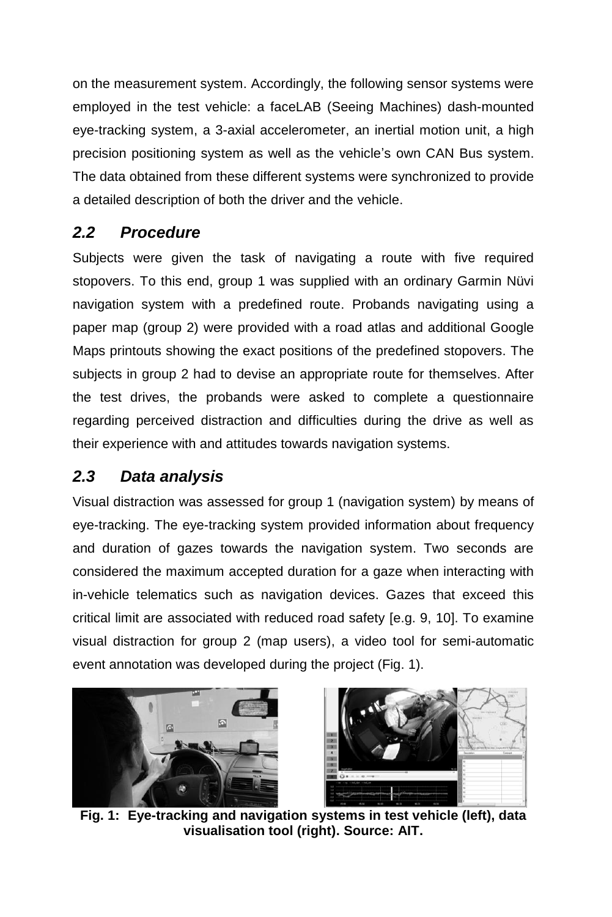on the measurement system. Accordingly, the following sensor systems were employed in the test vehicle: a faceLAB (Seeing Machines) dash-mounted eye-tracking system, a 3-axial accelerometer, an inertial motion unit, a high precision positioning system as well as the vehicle's own CAN Bus system. The data obtained from these different systems were synchronized to provide a detailed description of both the driver and the vehicle.

# *2.2 Procedure*

Subjects were given the task of navigating a route with five required stopovers. To this end, group 1 was supplied with an ordinary Garmin Nüvi navigation system with a predefined route. Probands navigating using a paper map (group 2) were provided with a road atlas and additional Google Maps printouts showing the exact positions of the predefined stopovers. The subjects in group 2 had to devise an appropriate route for themselves. After the test drives, the probands were asked to complete a questionnaire regarding perceived distraction and difficulties during the drive as well as their experience with and attitudes towards navigation systems.

### *2.3 Data analysis*

Visual distraction was assessed for group 1 (navigation system) by means of eye-tracking. The eye-tracking system provided information about frequency and duration of gazes towards the navigation system. Two seconds are considered the maximum accepted duration for a gaze when interacting with in-vehicle telematics such as navigation devices. Gazes that exceed this critical limit are associated with reduced road safety [e.g. 9, 10]. To examine visual distraction for group 2 (map users), a video tool for semi-automatic event annotation was developed during the project [\(Fig. 1\)](#page-2-0).



<span id="page-2-0"></span>

**Fig. 1: Eye-tracking and navigation systems in test vehicle (left), data visualisation tool (right). Source: AIT.**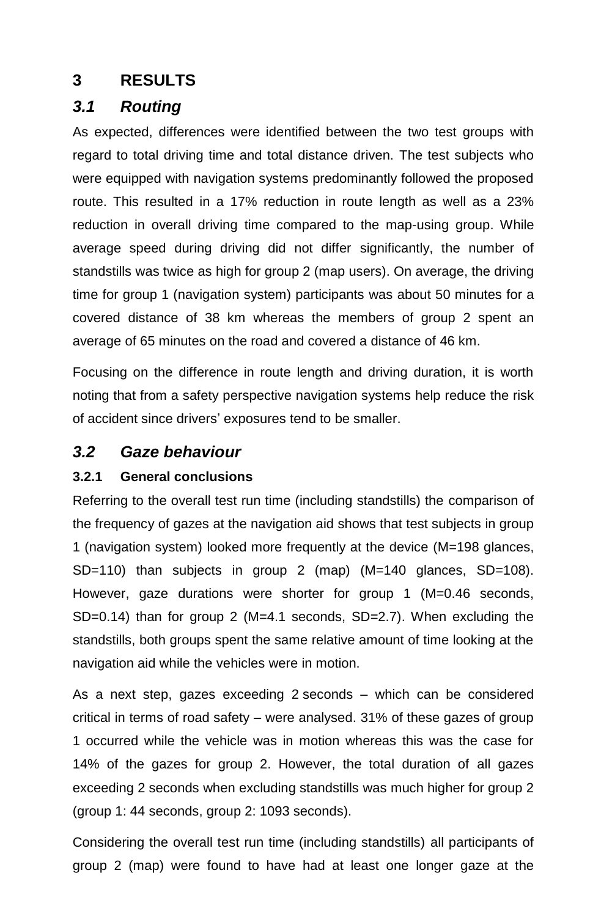# **3 RESULTS**

# *3.1 Routing*

As expected, differences were identified between the two test groups with regard to total driving time and total distance driven. The test subjects who were equipped with navigation systems predominantly followed the proposed route. This resulted in a 17% reduction in route length as well as a 23% reduction in overall driving time compared to the map-using group. While average speed during driving did not differ significantly, the number of standstills was twice as high for group 2 (map users). On average, the driving time for group 1 (navigation system) participants was about 50 minutes for a covered distance of 38 km whereas the members of group 2 spent an average of 65 minutes on the road and covered a distance of 46 km.

Focusing on the difference in route length and driving duration, it is worth noting that from a safety perspective navigation systems help reduce the risk of accident since drivers' exposures tend to be smaller.

# *3.2 Gaze behaviour*

### **3.2.1 General conclusions**

Referring to the overall test run time (including standstills) the comparison of the frequency of gazes at the navigation aid shows that test subjects in group 1 (navigation system) looked more frequently at the device (M=198 glances, SD=110) than subjects in group 2 (map) (M=140 glances, SD=108). However, gaze durations were shorter for group 1 (M=0.46 seconds, SD=0.14) than for group 2 (M=4.1 seconds, SD=2.7). When excluding the standstills, both groups spent the same relative amount of time looking at the navigation aid while the vehicles were in motion.

As a next step, gazes exceeding 2 seconds – which can be considered critical in terms of road safety – were analysed. 31% of these gazes of group 1 occurred while the vehicle was in motion whereas this was the case for 14% of the gazes for group 2. However, the total duration of all gazes exceeding 2 seconds when excluding standstills was much higher for group 2 (group 1: 44 seconds, group 2: 1093 seconds).

Considering the overall test run time (including standstills) all participants of group 2 (map) were found to have had at least one longer gaze at the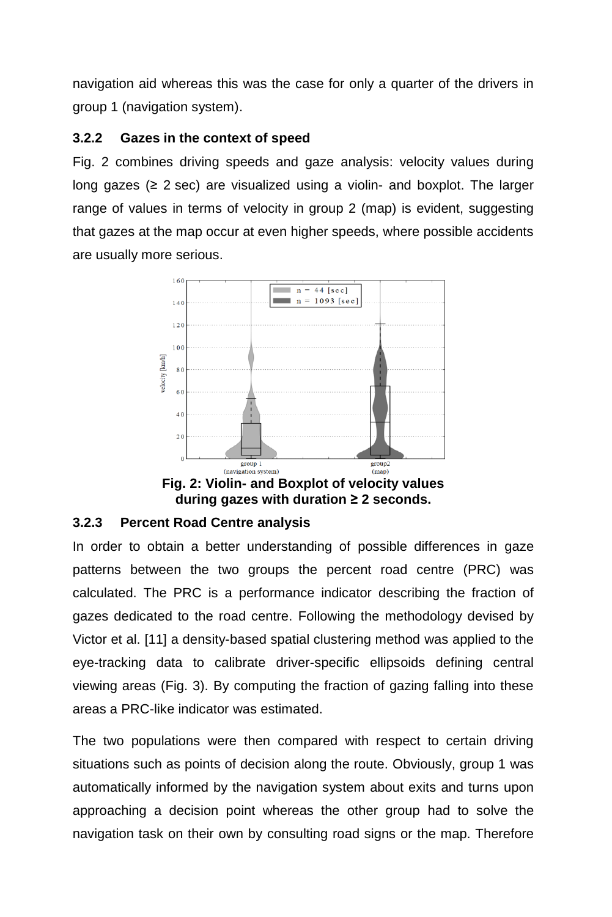navigation aid whereas this was the case for only a quarter of the drivers in group 1 (navigation system).

#### **3.2.2 Gazes in the context of speed**

[Fig. 2](#page-4-0) combines driving speeds and gaze analysis: velocity values during long gazes ( $\geq$  2 sec) are visualized using a violin- and boxplot. The larger range of values in terms of velocity in group 2 (map) is evident, suggesting that gazes at the map occur at even higher speeds, where possible accidents are usually more serious.



**during gazes with duration ≥ 2 seconds.** 

#### <span id="page-4-0"></span>**3.2.3 Percent Road Centre analysis**

In order to obtain a better understanding of possible differences in gaze patterns between the two groups the percent road centre (PRC) was calculated. The PRC is a performance indicator describing the fraction of gazes dedicated to the road centre. Following the methodology devised by Victor et al. [11] a density-based spatial clustering method was applied to the eye-tracking data to calibrate driver-specific ellipsoids defining central viewing areas [\(Fig. 3\)](#page-5-0). By computing the fraction of gazing falling into these areas a PRC-like indicator was estimated.

The two populations were then compared with respect to certain driving situations such as points of decision along the route. Obviously, group 1 was automatically informed by the navigation system about exits and turns upon approaching a decision point whereas the other group had to solve the navigation task on their own by consulting road signs or the map. Therefore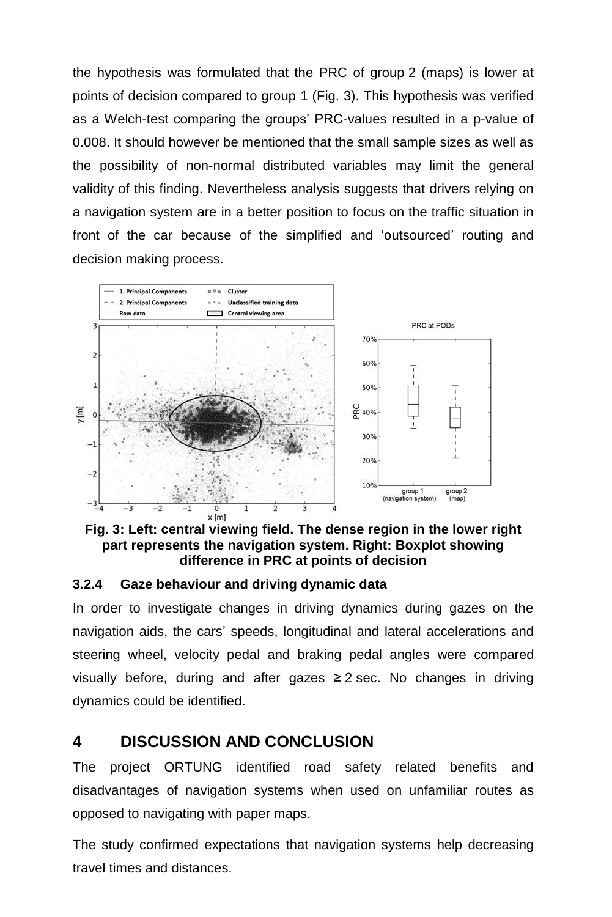the hypothesis was formulated that the PRC of group 2 (maps) is lower at points of decision compared to group 1 [\(Fig. 3\)](#page-5-0). This hypothesis was verified as a Welch-test comparing the groups' PRC-values resulted in a p-value of 0.008. It should however be mentioned that the small sample sizes as well as the possibility of non-normal distributed variables may limit the general validity of this finding. Nevertheless analysis suggests that drivers relying on a navigation system are in a better position to focus on the traffic situation in front of the car because of the simplified and 'outsourced' routing and decision making process.



<span id="page-5-0"></span>**Fig. 3: Left: central viewing field. The dense region in the lower right part represents the navigation system. Right: Boxplot showing difference in PRC at points of decision**

#### **3.2.4 Gaze behaviour and driving dynamic data**

In order to investigate changes in driving dynamics during gazes on the navigation aids, the cars' speeds, longitudinal and lateral accelerations and steering wheel, velocity pedal and braking pedal angles were compared visually before, during and after gazes  $\geq 2$  sec. No changes in driving dynamics could be identified.

### **4 DISCUSSION AND CONCLUSION**

The project ORTUNG identified road safety related benefits and disadvantages of navigation systems when used on unfamiliar routes as opposed to navigating with paper maps.

The study confirmed expectations that navigation systems help decreasing travel times and distances.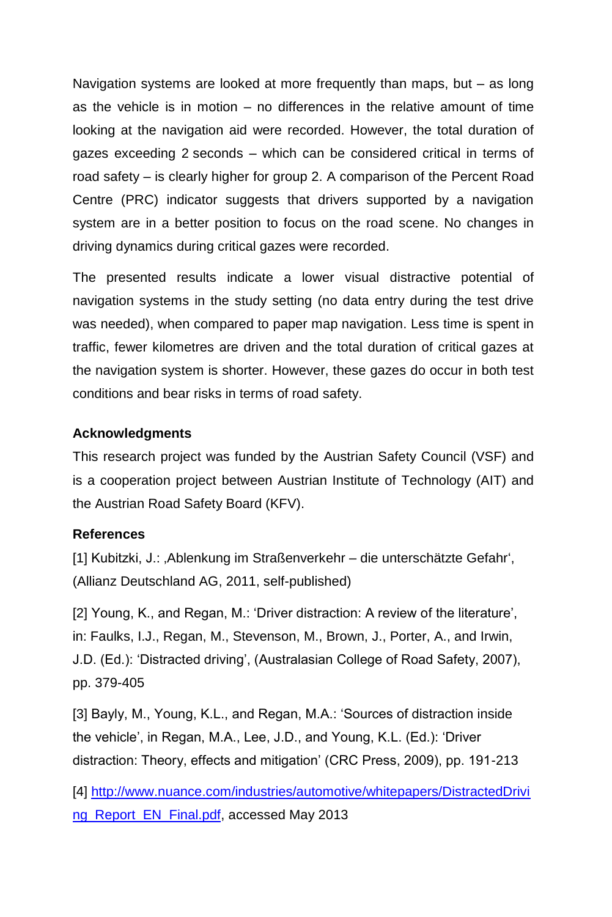Navigation systems are looked at more frequently than maps, but – as long as the vehicle is in motion – no differences in the relative amount of time looking at the navigation aid were recorded. However, the total duration of gazes exceeding 2 seconds – which can be considered critical in terms of road safety – is clearly higher for group 2. A comparison of the Percent Road Centre (PRC) indicator suggests that drivers supported by a navigation system are in a better position to focus on the road scene. No changes in driving dynamics during critical gazes were recorded.

The presented results indicate a lower visual distractive potential of navigation systems in the study setting (no data entry during the test drive was needed), when compared to paper map navigation. Less time is spent in traffic, fewer kilometres are driven and the total duration of critical gazes at the navigation system is shorter. However, these gazes do occur in both test conditions and bear risks in terms of road safety.

#### **Acknowledgments**

This research project was funded by the Austrian Safety Council (VSF) and is a cooperation project between Austrian Institute of Technology (AIT) and the Austrian Road Safety Board (KFV).

#### **References**

[1] Kubitzki, J.: , Ablenkung im Straßenverkehr – die unterschätzte Gefahr', (Allianz Deutschland AG, 2011, self-published)

[2] Young, K., and Regan, M.: 'Driver distraction: A review of the literature', in: Faulks, I.J., Regan, M., Stevenson, M., Brown, J., Porter, A., and Irwin, J.D. (Ed.): 'Distracted driving', (Australasian College of Road Safety, 2007), pp. 379-405

[3] Bayly, M., Young, K.L., and Regan, M.A.: 'Sources of distraction inside the vehicle', in Regan, M.A., Lee, J.D., and Young, K.L. (Ed.): 'Driver distraction: Theory, effects and mitigation' (CRC Press, 2009), pp. 191-213

[4] [http://www.nuance.com/industries/automotive/whitepapers/DistractedDrivi](http://www.nuance.com/industries/automotive/whitepapers/DistractedDriving_Report_EN_Final.pdf) [ng\\_Report\\_EN\\_Final.pdf,](http://www.nuance.com/industries/automotive/whitepapers/DistractedDriving_Report_EN_Final.pdf) accessed May 2013